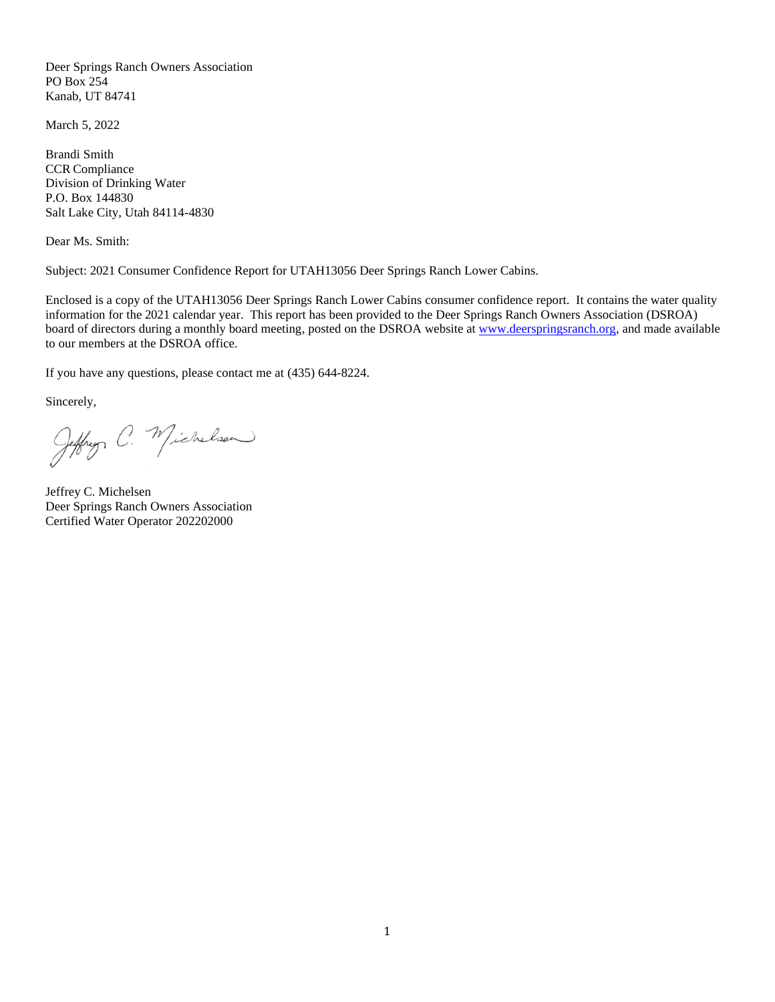Deer Springs Ranch Owners Association PO Box 254 Kanab, UT 84741

March 5, 2022

Brandi Smith CCR Compliance Division of Drinking Water P.O. Box 144830 Salt Lake City, Utah 84114-4830

Dear Ms. Smith:

Subject: 2021 Consumer Confidence Report for UTAH13056 Deer Springs Ranch Lower Cabins.

Enclosed is a copy of the UTAH13056 Deer Springs Ranch Lower Cabins consumer confidence report. It contains the water quality information for the 2021 calendar year. This report has been provided to the Deer Springs Ranch Owners Association (DSROA) board of directors during a monthly board meeting, posted on the DSROA website at [www.deerspringsranch.org,](http://www.deerspringsranch.org/) and made available to our members at the DSROA office.

If you have any questions, please contact me at (435) 644-8224.

Sincerely,

Jeffrey C. Michelson

Jeffrey C. Michelsen Deer Springs Ranch Owners Association Certified Water Operator 202202000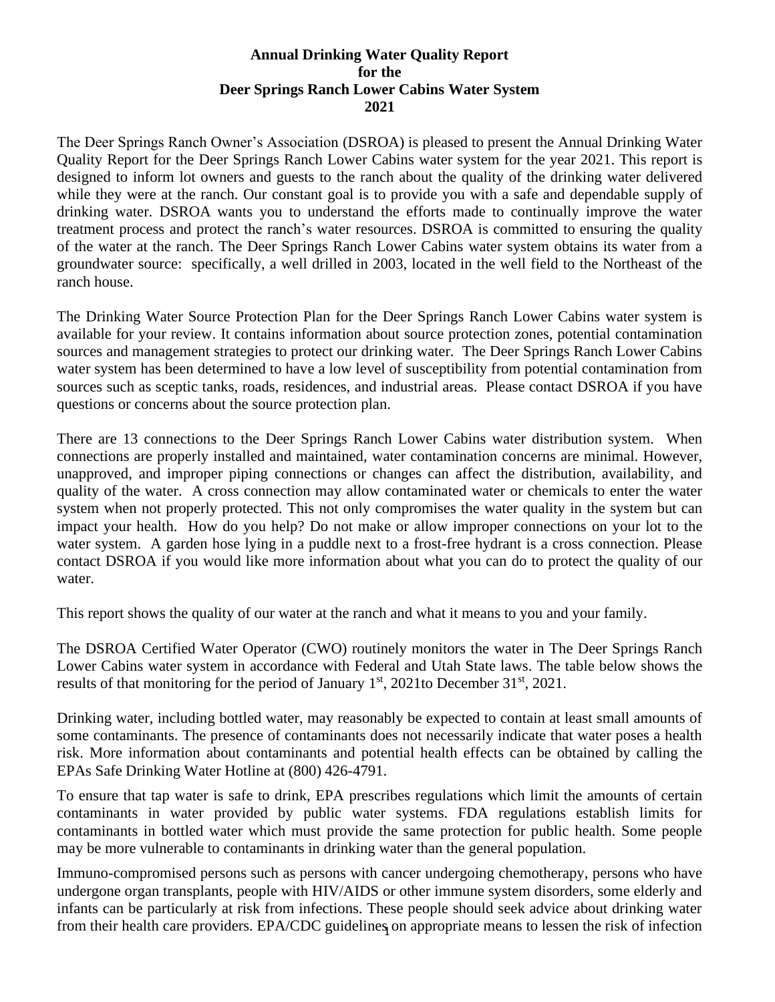## **Annual Drinking Water Quality Report for the Deer Springs Ranch Lower Cabins Water System 2021**

The Deer Springs Ranch Owner's Association (DSROA) is pleased to present the Annual Drinking Water Quality Report for the Deer Springs Ranch Lower Cabins water system for the year 2021. This report is designed to inform lot owners and guests to the ranch about the quality of the drinking water delivered while they were at the ranch. Our constant goal is to provide you with a safe and dependable supply of drinking water. DSROA wants you to understand the efforts made to continually improve the water treatment process and protect the ranch's water resources. DSROA is committed to ensuring the quality of the water at the ranch. The Deer Springs Ranch Lower Cabins water system obtains its water from a groundwater source: specifically, a well drilled in 2003, located in the well field to the Northeast of the ranch house.

The Drinking Water Source Protection Plan for the Deer Springs Ranch Lower Cabins water system is available for your review. It contains information about source protection zones, potential contamination sources and management strategies to protect our drinking water. The Deer Springs Ranch Lower Cabins water system has been determined to have a low level of susceptibility from potential contamination from sources such as sceptic tanks, roads, residences, and industrial areas. Please contact DSROA if you have questions or concerns about the source protection plan.

There are 13 connections to the Deer Springs Ranch Lower Cabins water distribution system. When connections are properly installed and maintained, water contamination concerns are minimal. However, unapproved, and improper piping connections or changes can affect the distribution, availability, and quality of the water. A cross connection may allow contaminated water or chemicals to enter the water system when not properly protected. This not only compromises the water quality in the system but can impact your health. How do you help? Do not make or allow improper connections on your lot to the water system. A garden hose lying in a puddle next to a frost-free hydrant is a cross connection. Please contact DSROA if you would like more information about what you can do to protect the quality of our water.

This report shows the quality of our water at the ranch and what it means to you and your family.

The DSROA Certified Water Operator (CWO) routinely monitors the water in The Deer Springs Ranch Lower Cabins water system in accordance with Federal and Utah State laws. The table below shows the results of that monitoring for the period of January  $1<sup>st</sup>$ , 2021to December 31<sup>st</sup>, 2021.

Drinking water, including bottled water, may reasonably be expected to contain at least small amounts of some contaminants. The presence of contaminants does not necessarily indicate that water poses a health risk. More information about contaminants and potential health effects can be obtained by calling the EPAs Safe Drinking Water Hotline at (800) 426-4791.

To ensure that tap water is safe to drink, EPA prescribes regulations which limit the amounts of certain contaminants in water provided by public water systems. FDA regulations establish limits for contaminants in bottled water which must provide the same protection for public health. Some people may be more vulnerable to contaminants in drinking water than the general population.

from their health care providers. EPA/CDC guidelines on appropriate means to lessen the risk of infection Immuno-compromised persons such as persons with cancer undergoing chemotherapy, persons who have undergone organ transplants, people with HIV/AIDS or other immune system disorders, some elderly and infants can be particularly at risk from infections. These people should seek advice about drinking water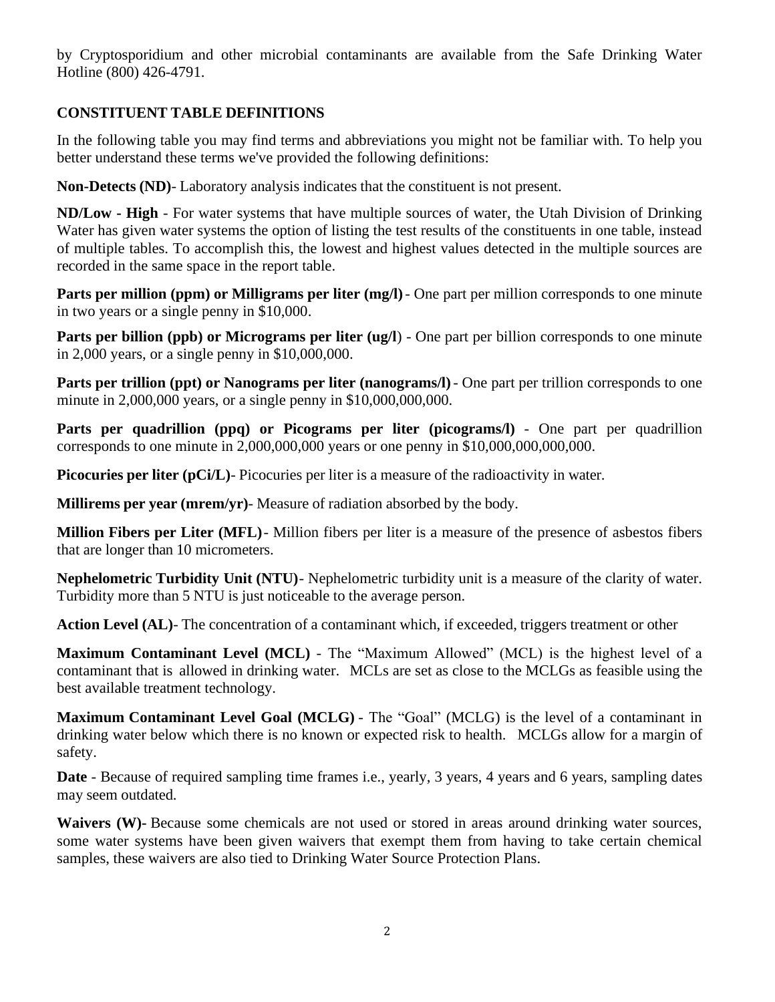by Cryptosporidium and other microbial contaminants are available from the Safe Drinking Water Hotline (800) 426-4791.

# **CONSTITUENT TABLE DEFINITIONS**

In the following table you may find terms and abbreviations you might not be familiar with. To help you better understand these terms we've provided the following definitions:

**Non-Detects (ND)**- Laboratory analysis indicates that the constituent is not present.

**ND/Low - High** - For water systems that have multiple sources of water, the Utah Division of Drinking Water has given water systems the option of listing the test results of the constituents in one table, instead of multiple tables. To accomplish this, the lowest and highest values detected in the multiple sources are recorded in the same space in the report table.

**Parts per million (ppm) or Milligrams per liter (mg/l)** - One part per million corresponds to one minute in two years or a single penny in \$10,000.

**Parts per billion (ppb) or Micrograms per liter (ug/l)** - One part per billion corresponds to one minute in 2,000 years, or a single penny in \$10,000,000.

**Parts per trillion (ppt) or Nanograms per liter (nanograms/I) - One part per trillion corresponds to one** minute in 2,000,000 years, or a single penny in \$10,000,000,000.

Parts per quadrillion (ppq) or Picograms per liter (picograms/l) - One part per quadrillion corresponds to one minute in 2,000,000,000 years or one penny in \$10,000,000,000,000.

**Picocuries per liter (pCi/L)**- Picocuries per liter is a measure of the radioactivity in water.

**Millirems per year (mrem/yr)**- Measure of radiation absorbed by the body.

**Million Fibers per Liter (MFL)**- Million fibers per liter is a measure of the presence of asbestos fibers that are longer than 10 micrometers.

**Nephelometric Turbidity Unit (NTU)**- Nephelometric turbidity unit is a measure of the clarity of water. Turbidity more than 5 NTU is just noticeable to the average person.

**Action Level (AL)**- The concentration of a contaminant which, if exceeded, triggers treatment or other

**Maximum Contaminant Level (MCL)** - The "Maximum Allowed" (MCL) is the highest level of a contaminant that is allowed in drinking water. MCLs are set as close to the MCLGs as feasible using the best available treatment technology.

**Maximum Contaminant Level Goal (MCLG)** - The "Goal" (MCLG) is the level of a contaminant in drinking water below which there is no known or expected risk to health. MCLGs allow for a margin of safety.

**Date** - Because of required sampling time frames i.e., yearly, 3 years, 4 years and 6 years, sampling dates may seem outdated.

Waivers (W)- Because some chemicals are not used or stored in areas around drinking water sources, some water systems have been given waivers that exempt them from having to take certain chemical samples, these waivers are also tied to Drinking Water Source Protection Plans.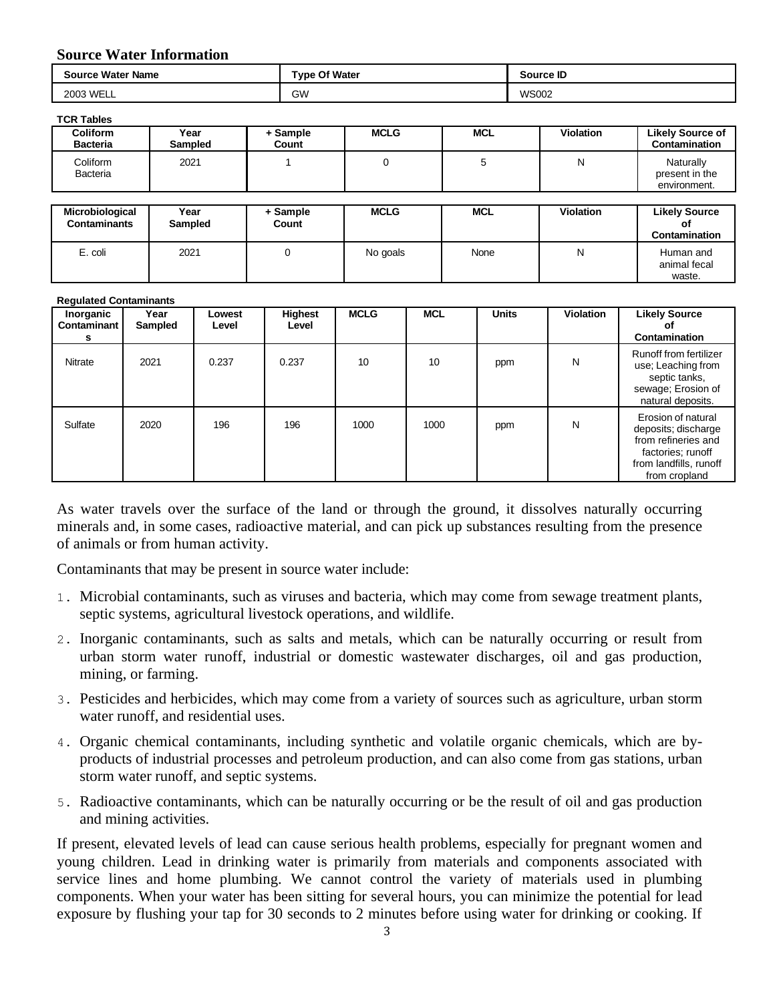### **Source Water Information**

| <b>Source Water Name</b> | <b>Type Of Water</b> | <b>Source ID</b> |  |
|--------------------------|----------------------|------------------|--|
| 2003 WELL                | <b>GW</b>            | <b>WS002</b>     |  |

#### **TCR Tables**

| <b>Coliform</b><br><b>Bacteria</b>     | Year<br>Sampled | + Sample<br>Count | <b>MCLG</b> | <b>MCL</b> | <b>Violation</b> | <b>Likely Source of</b><br>Contamination    |
|----------------------------------------|-----------------|-------------------|-------------|------------|------------------|---------------------------------------------|
| Coliform<br>Bacteria                   | 2021            |                   | 0           | 5          | N                | Naturally<br>present in the<br>environment. |
| Microbiological<br><b>Contaminants</b> | Year<br>Sampled | + Sample<br>Count | <b>MCLG</b> | <b>MCL</b> | <b>Violation</b> | <b>Likely Source</b><br>Οt<br>Contamination |
| E. coli                                | 2021            | 0                 | No goals    | None       | N                | Human and<br>animal fecal<br>waste.         |

#### **Regulated Contaminants**

| Inorganic<br>Contaminant<br>s | Year<br>Sampled | Lowest<br>Level | Highest<br>Level | <b>MCLG</b> | <b>MCL</b> | <b>Units</b> | <b>Violation</b> | <b>Likely Source</b><br>Οt<br>Contamination                                                                                      |
|-------------------------------|-----------------|-----------------|------------------|-------------|------------|--------------|------------------|----------------------------------------------------------------------------------------------------------------------------------|
| Nitrate                       | 2021            | 0.237           | 0.237            | 10          | 10         | ppm          | N                | <b>Runoff from fertilizer</b><br>use; Leaching from<br>septic tanks,<br>sewage; Erosion of<br>natural deposits.                  |
| Sulfate                       | 2020            | 196             | 196              | 1000        | 1000       | ppm          | N                | Erosion of natural<br>deposits; discharge<br>from refineries and<br>factories; runoff<br>from landfills, runoff<br>from cropland |

As water travels over the surface of the land or through the ground, it dissolves naturally occurring minerals and, in some cases, radioactive material, and can pick up substances resulting from the presence of animals or from human activity.

Contaminants that may be present in source water include:

- 1. Microbial contaminants, such as viruses and bacteria, which may come from sewage treatment plants, septic systems, agricultural livestock operations, and wildlife.
- 2. Inorganic contaminants, such as salts and metals, which can be naturally occurring or result from urban storm water runoff, industrial or domestic wastewater discharges, oil and gas production, mining, or farming.
- 3. Pesticides and herbicides, which may come from a variety of sources such as agriculture, urban storm water runoff, and residential uses.
- 4. Organic chemical contaminants, including synthetic and volatile organic chemicals, which are byproducts of industrial processes and petroleum production, and can also come from gas stations, urban storm water runoff, and septic systems.
- 5. Radioactive contaminants, which can be naturally occurring or be the result of oil and gas production and mining activities.

If present, elevated levels of lead can cause serious health problems, especially for pregnant women and young children. Lead in drinking water is primarily from materials and components associated with service lines and home plumbing. We cannot control the variety of materials used in plumbing components. When your water has been sitting for several hours, you can minimize the potential for lead exposure by flushing your tap for 30 seconds to 2 minutes before using water for drinking or cooking. If